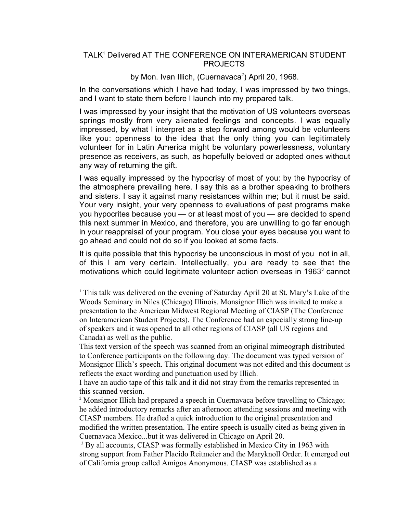## TALK1 Delivered AT THE CONFERENCE ON INTERAMERICAN STUDENT PROJECTS

## by Mon. Ivan Illich, (Cuernavaca<sup>2</sup>) April 20, 1968.

In the conversations which I have had today, I was impressed by two things, and I want to state them before I launch into my prepared talk.

I was impressed by your insight that the motivation of US volunteers overseas springs mostly from very alienated feelings and concepts. I was equally impressed, by what I interpret as a step forward among would be volunteers like you: openness to the idea that the only thing you can legitimately volunteer for in Latin America might be voluntary powerlessness, voluntary presence as receivers, as such, as hopefully beloved or adopted ones without any way of returning the gift.

I was equally impressed by the hypocrisy of most of you: by the hypocrisy of the atmosphere prevailing here. I say this as a brother speaking to brothers and sisters. I say it against many resistances within me; but it must be said. Your very insight, your very openness to evaluations of past programs make you hypocrites because you — or at least most of you — are decided to spend this next summer in Mexico, and therefore, you are unwilling to go far enough in your reappraisal of your program. You close your eyes because you want to go ahead and could not do so if you looked at some facts.

It is quite possible that this hypocrisy be unconscious in most of you not in all, of this I am very certain. Intellectually, you are ready to see that the motivations which could legitimate volunteer action overseas in 1963 $3$  cannot

 $\overline{a}$ 

<sup>&</sup>lt;sup>1</sup> This talk was delivered on the evening of Saturday April 20 at St. Mary's Lake of the Woods Seminary in Niles (Chicago) Illinois. Monsignor Illich was invited to make a presentation to the American Midwest Regional Meeting of CIASP (The Conference on Interamerican Student Projects). The Conference had an especially strong line-up of speakers and it was opened to all other regions of CIASP (all US regions and Canada) as well as the public.

This text version of the speech was scanned from an original mimeograph distributed to Conference participants on the following day. The document was typed version of Monsignor Illich's speech. This original document was not edited and this document is reflects the exact wording and punctuation used by Illich.

I have an audio tape of this talk and it did not stray from the remarks represented in this scanned version.

<sup>&</sup>lt;sup>2</sup> Monsignor Illich had prepared a speech in Cuernavaca before travelling to Chicago; he added introductory remarks after an afternoon attending sessions and meeting with CIASP members. He drafted a quick introduction to the original presentation and modified the written presentation. The entire speech is usually cited as being given in Cuernavaca Mexico...but it was delivered in Chicago on April 20.

<sup>&</sup>lt;sup>3</sup> By all accounts, CIASP was formally established in Mexico City in 1963 with strong support from Father Placido Reitmeier and the Maryknoll Order. It emerged out of California group called Amigos Anonymous. CIASP was established as a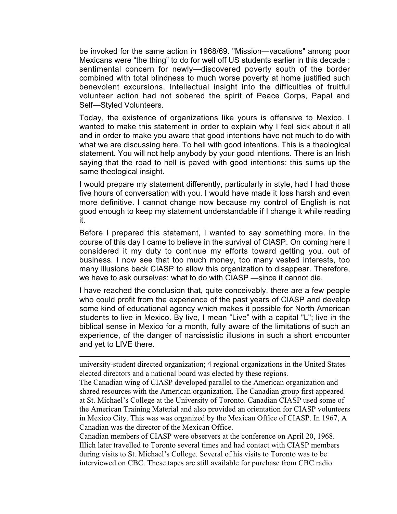be invoked for the same action in 1968/69. "Mission—vacations" among poor Mexicans were "the thing" to do for well off US students earlier in this decade : sentimental concern for newly—discovered poverty south of the border combined with total blindness to much worse poverty at home justified such benevolent excursions. Intellectual insight into the difficulties of fruitful volunteer action had not sobered the spirit of Peace Corps, Papal and Self—Styled Volunteers.

Today, the existence of organizations like yours is offensive to Mexico. I wanted to make this statement in order to explain why I feel sick about it all and in order to make you aware that good intentions have not much to do with what we are discussing here. To hell with good intentions. This is a theological statement. You will not help anybody by your good intentions. There is an Irish saying that the road to hell is paved with good intentions: this sums up the same theological insight.

I would prepare my statement differently, particularly in style, had I had those five hours of conversation with you. I would have made it loss harsh and even more definitive. I cannot change now because my control of English is not good enough to keep my statement understandable if I change it while reading it.

Before I prepared this statement, I wanted to say something more. In the course of this day I came to believe in the survival of CIASP. On coming here I considered it my duty to continue my efforts toward getting you. out of business. I now see that too much money, too many vested interests, too many illusions back CIASP to allow this organization to disappear. Therefore, we have to ask ourselves: what to do with CIASP —since it cannot die.

I have reached the conclusion that, quite conceivably, there are a few people who could profit from the experience of the past years of CIASP and develop some kind of educational agency which makes it possible for North American students to live in Mexico. By live, I mean "Live" with a capital "L"; live in the biblical sense in Mexico for a month, fully aware of the limitations of such an experience, of the danger of narcissistic illusions in such a short encounter and yet to LIVE there.

university-student directed organization; 4 regional organizations in the United States elected directors and a national board was elected by these regions.

 $\overline{a}$ 

The Canadian wing of CIASP developed parallel to the American organization and shared resources with the American organization. The Canadian group first appeared at St. Michael's College at the University of Toronto. Canadian CIASP used some of the American Training Material and also provided an orientation for CIASP volunteers in Mexico City. This was was organized by the Mexican Office of CIASP. In 1967, A Canadian was the director of the Mexican Office.

Canadian members of CIASP were observers at the conference on April 20, 1968. Illich later travelled to Toronto several times and had contact with CIASP members during visits to St. Michael's College. Several of his visits to Toronto was to be interviewed on CBC. These tapes are still available for purchase from CBC radio.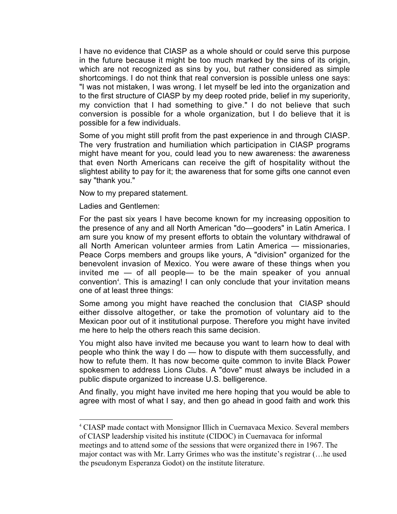I have no evidence that CIASP as a whole should or could serve this purpose in the future because it might be too much marked by the sins of its origin, which are not recognized as sins by you, but rather considered as simple shortcomings. I do not think that real conversion is possible unless one says: "I was not mistaken, I was wrong. I let myself be led into the organization and to the first structure of CIASP by my deep rooted pride, belief in my superiority, my conviction that I had something to give." I do not believe that such conversion is possible for a whole organization, but I do believe that it is possible for a few individuals.

Some of you might still profit from the past experience in and through CIASP. The very frustration and humiliation which participation in CIASP programs might have meant for you, could lead you to new awareness: the awareness that even North Americans can receive the gift of hospitality without the slightest ability to pay for it; the awareness that for some gifts one cannot even say "thank you."

Now to my prepared statement.

Ladies and Gentlemen:

 $\overline{a}$ 

For the past six years I have become known for my increasing opposition to the presence of any and all North American "do—gooders" in Latin America. I am sure you know of my present efforts to obtain the voluntary withdrawal of all North American volunteer armies from Latin America — missionaries, Peace Corps members and groups like yours, A "division" organized for the benevolent invasion of Mexico. You were aware of these things when you invited me — of all people— to be the main speaker of you annual convention<sup>4</sup>. This is amazing! I can only conclude that your invitation means one of at least three things:

Some among you might have reached the conclusion that CIASP should either dissolve altogether, or take the promotion of voluntary aid to the Mexican poor out of it institutional purpose. Therefore you might have invited me here to help the others reach this same decision.

You might also have invited me because you want to learn how to deal with people who think the way I do — how to dispute with them successfully, and how to refute them. It has now become quite common to invite Black Power spokesmen to address Lions Clubs. A "dove" must always be included in a public dispute organized to increase U.S. belligerence.

And finally, you might have invited me here hoping that you would be able to agree with most of what I say, and then go ahead in good faith and work this

<sup>4</sup> CIASP made contact with Monsignor Illich in Cuernavaca Mexico. Several members of CIASP leadership visited his institute (CIDOC) in Cuernavaca for informal meetings and to attend some of the sessions that were organized there in 1967. The major contact was with Mr. Larry Grimes who was the institute's registrar (…he used the pseudonym Esperanza Godot) on the institute literature.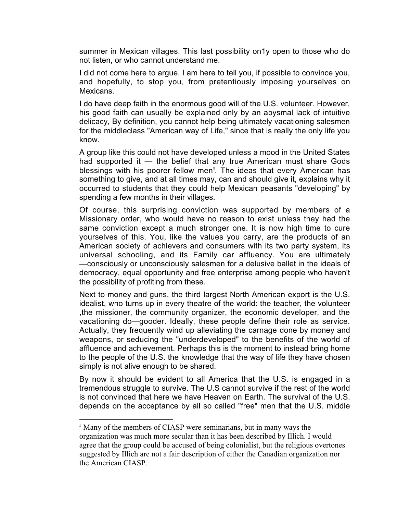summer in Mexican villages. This last possibility on1y open to those who do not listen, or who cannot understand me.

I did not come here to argue. I am here to tell you, if possible to convince you, and hopefully, to stop you, from pretentiously imposing yourselves on Mexicans.

I do have deep faith in the enormous good will of the U.S. volunteer. However, his good faith can usually be explained only by an abysmal lack of intuitive delicacy, By definition, you cannot help being ultimately vacationing salesmen for the middleclass "American way of Life," since that is really the only life you know.

A group like this could not have developed unless a mood in the United States had supported it — the belief that any true American must share Gods blessings with his poorer fellow men<sup>s</sup>. The ideas that every American has something to give, and at all times may, can and should give it, explains why it occurred to students that they could help Mexican peasants "developing" by spending a few months in their villages.

Of course, this surprising conviction was supported by members of a Missionary order, who would have no reason to exist unless they had the same conviction except a much stronger one. It is now high time to cure yourselves of this. You, like the values you carry, are the products of an American society of achievers and consumers with its two party system, its universal schooling, and its Family car affluency. You are ultimately —consciously or unconsciously salesmen for a delusive ballet in the ideals of democracy, equal opportunity and free enterprise among people who haven't the possibility of profiting from these.

Next to money and guns, the third largest North American export is the U.S. idealist, who turns up in every theatre of the world: the teacher, the volunteer ,the missioner, the community organizer, the economic developer, and the vacationing do—gooder. Ideally, these people define their role as service. Actually, they frequently wind up alleviating the carnage done by money and weapons, or seducing the "underdeveloped" to the benefits of the world of affluence and achievement. Perhaps this is the moment to instead bring home to the people of the U.S. the knowledge that the way of life they have chosen simply is not alive enough to be shared.

By now it should be evident to all America that the U.S. is engaged in a tremendous struggle to survive. The U.S cannot survive if the rest of the world is not convinced that here we have Heaven on Earth. The survival of the U.S. depends on the acceptance by all so called "free" men that the U.S. middle

 $\overline{a}$ 

<sup>&</sup>lt;sup>5</sup> Many of the members of CIASP were seminarians, but in many ways the

organization was much more secular than it has been described by Illich. I would agree that the group could be accused of being colonialist, but the religious overtones suggested by Illich are not a fair description of either the Canadian organization nor the American CIASP.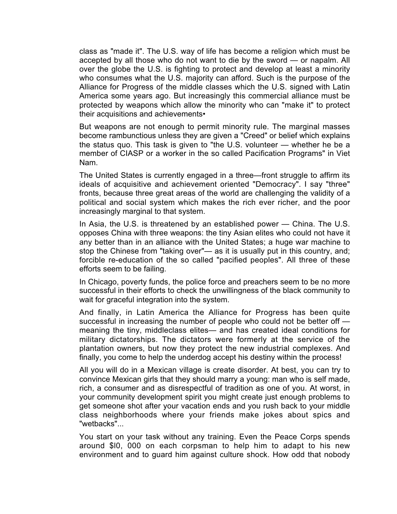class as "made it". The U.S. way of life has become a religion which must be accepted by all those who do not want to die by the sword — or napalm. All over the globe the U.S. is fighting to protect and develop at least a minority who consumes what the U.S. majority can afford. Such is the purpose of the Alliance for Progress of the middle classes which the U.S. signed with Latin America some years ago. But increasingly this commercial alliance must be protected by weapons which allow the minority who can "make it" to protect their acquisitions and achievements•

But weapons are not enough to permit minority rule. The marginal masses become rambunctious unless they are given a "Creed" or belief which explains the status quo. This task is given to "the U.S. volunteer — whether he be a member of CIASP or a worker in the so called Pacification Programs" in Viet Nam.

The United States is currently engaged in a three—front struggle to affirm its ideals of acquisitive and achievement oriented "Democracy". I say "three" fronts, because three great areas of the world are challenging the validity of a political and social system which makes the rich ever richer, and the poor increasingly marginal to that system.

In Asia, the U.S. is threatened by an established power — China. The U.S. opposes China with three weapons: the tiny Asian elites who could not have it any better than in an alliance with the United States; a huge war machine to stop the Chinese from "taking over"— as it is usually put in this country, and; forcible re-education of the so called "pacified peoples". All three of these efforts seem to be failing.

In Chicago, poverty funds, the police force and preachers seem to be no more successful in their efforts to check the unwillingness of the black community to wait for graceful integration into the system.

And finally, in Latin America the Alliance for Progress has been quite successful in increasing the number of people who could not be better off meaning the tiny, middleclass elites— and has created ideal conditions for military dictatorships. The dictators were formerly at the service of the plantation owners, but now they protect the new industrial complexes. And finally, you come to help the underdog accept his destiny within the process!

All you will do in a Mexican village is create disorder. At best, you can try to convince Mexican girls that they should marry a young: man who is self made, rich, a consumer and as disrespectful of tradition as one of you. At worst, in your community development spirit you might create just enough problems to get someone shot after your vacation ends and you rush back to your middle class neighborhoods where your friends make jokes about spics and "wetbacks"...

You start on your task without any training. Even the Peace Corps spends around \$l0, 000 on each corpsman to help him to adapt to his new environment and to guard him against culture shock. How odd that nobody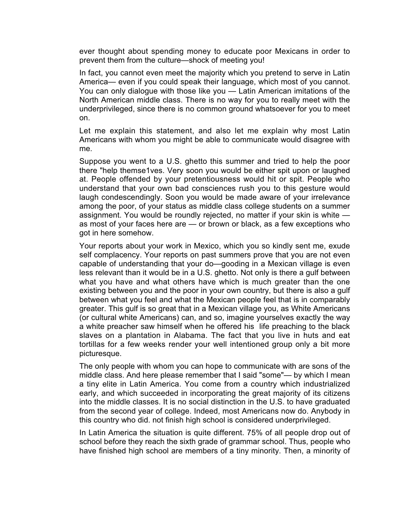ever thought about spending money to educate poor Mexicans in order to prevent them from the culture—shock of meeting you!

In fact, you cannot even meet the majority which you pretend to serve in Latin America— even if you could speak their language, which most of you cannot. You can only dialogue with those like you — Latin American imitations of the North American middle class. There is no way for you to really meet with the underprivileged, since there is no common ground whatsoever for you to meet on.

Let me explain this statement, and also let me explain why most Latin Americans with whom you might be able to communicate would disagree with me.

Suppose you went to a U.S. ghetto this summer and tried to help the poor there "help themse1ves. Very soon you would be either spit upon or laughed at. People offended by your pretentiousness would hit or spit. People who understand that your own bad consciences rush you to this gesture would laugh condescendingly. Soon you would be made aware of your irrelevance among the poor, of your status as middle class college students on a summer assignment. You would be roundly rejected, no matter if your skin is white as most of your faces here are — or brown or black, as a few exceptions who got in here somehow.

Your reports about your work in Mexico, which you so kindly sent me, exude self complacency. Your reports on past summers prove that you are not even capable of understanding that your do—gooding in a Mexican village is even less relevant than it would be in a U.S. ghetto. Not only is there a gulf between what you have and what others have which is much greater than the one existing between you and the poor in your own country, but there is also a gulf between what you feel and what the Mexican people feel that is in comparably greater. This gulf is so great that in a Mexican village you, as White Americans (or cultural white Americans) can, and so, imagine yourselves exactly the way a white preacher saw himself when he offered his life preaching to the black slaves on a plantation in Alabama. The fact that you live in huts and eat tortillas for a few weeks render your well intentioned group only a bit more picturesque.

The only people with whom you can hope to communicate with are sons of the middle class. And here please remember that I said "some"— by which I mean a tiny elite in Latin America. You come from a country which industrialized early, and which succeeded in incorporating the great majority of its citizens into the middle classes. It is no social distinction in the U.S. to have graduated from the second year of college. Indeed, most Americans now do. Anybody in this country who did. not finish high school is considered underprivileged.

In Latin America the situation is quite different. 75% of all people drop out of school before they reach the sixth grade of grammar school. Thus, people who have finished high school are members of a tiny minority. Then, a minority of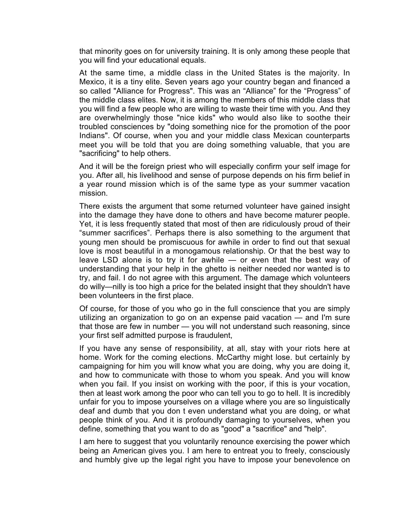that minority goes on for university training. It is only among these people that you will find your educational equals.

At the same time, a middle class in the United States is the majority. In Mexico, it is a tiny elite. Seven years ago your country began and financed a so called "Alliance for Progress". This was an "Alliance" for the "Progress" of the middle class elites. Now, it is among the members of this middle class that you will find a few people who are willing to waste their time with you. And they are overwhelmingly those "nice kids" who would also like to soothe their troubled consciences by "doing something nice for the promotion of the poor Indians". Of course, when you and your middle class Mexican counterparts meet you will be told that you are doing something valuable, that you are "sacrificing" to help others.

And it will be the foreign priest who will especially confirm your self image for you. After all, his livelihood and sense of purpose depends on his firm belief in a year round mission which is of the same type as your summer vacation mission.

There exists the argument that some returned volunteer have gained insight into the damage they have done to others and have become maturer people. Yet, it is less frequently stated that most of then are ridiculously proud of their "summer sacrifices". Perhaps there is also something to the argument that young men should be promiscuous for awhile in order to find out that sexual love is most beautiful in a monogamous relationship. Or that the best way to leave LSD alone is to try it for awhile — or even that the best way of understanding that your help in the ghetto is neither needed nor wanted is to try, and fail. I do not agree with this argument. The damage which volunteers do willy—nilly is too high a price for the belated insight that they shouldn't have been volunteers in the first place.

Of course, for those of you who go in the full conscience that you are simply utilizing an organization to go on an expense paid vacation — and I'm sure that those are few in number — you will not understand such reasoning, since your first self admitted purpose is fraudulent,

If you have any sense of responsibility, at all, stay with your riots here at home. Work for the coming elections. McCarthy might lose. but certainly by campaigning for him you will know what you are doing, why you are doing it, and how to communicate with those to whom you speak. And you will know when you fail. If you insist on working with the poor, if this is your vocation, then at least work among the poor who can tell you to go to hell. It is incredibly unfair for you to impose yourselves on a village where you are so linguistically deaf and dumb that you don t even understand what you are doing, or what people think of you. And it is profoundly damaging to yourselves, when you define, something that you want to do as "good" a "sacrifice" and "help".

I am here to suggest that you voluntarily renounce exercising the power which being an American gives you. I am here to entreat you to freely, consciously and humbly give up the legal right you have to impose your benevolence on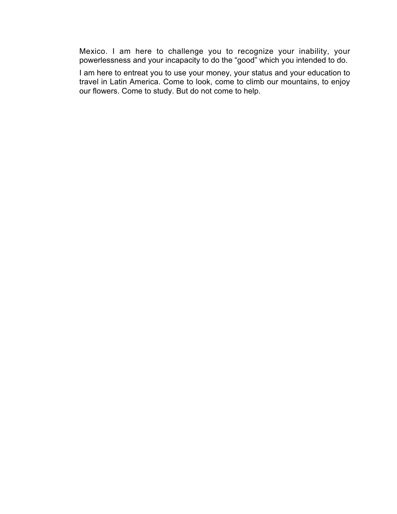Mexico. I am here to challenge you to recognize your inability, your powerlessness and your incapacity to do the "good" which you intended to do.

I am here to entreat you to use your money, your status and your education to travel in Latin America. Come to look, come to climb our mountains, to enjoy our flowers. Come to study. But do not come to help.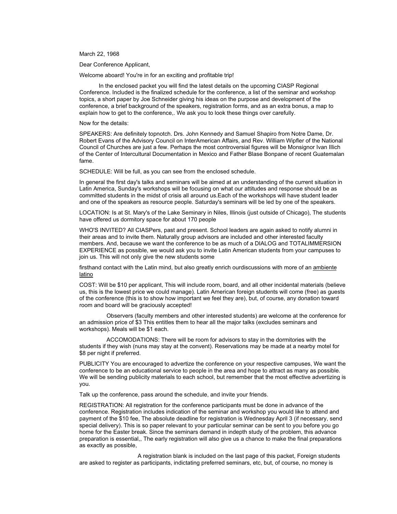March 22, 1968

Dear Conference Applicant,

Welcome aboard! You're in for an exciting and profitable trip!

In the enclosed packet you will find the latest details on the upcoming CIASP Regional Conference. Included is the finalized schedule for the conference, a list of the seminar and workshop topics, a short paper by Joe Schneider giving his ideas on the purpose and development of the conference, a brief background of the speakers, registration forms, and as an extra bonus, a map to explain how to get to the conference,. We ask you to look these things over carefully.

Now for the details:

SPEAKERS: Are definitely topnotch. Drs. John Kennedy and Samuel Shapiro from Notre Dame, Dr. Robert Evans of the Advisory Council on InterAmerican Affairs, and Rev. William Wipfler of the National Council of Churches are just a few. Perhaps the most controversial figures will be Monsignor Ivan Illich of the Center of Intercultural Documentation in Mexico and Father Blase Bonpane of recent Guatemalan fame.

SCHEDULE: Will be full, as you can see from the enclosed schedule.

In general the first day's talks and seminars will be aimed at an understanding of the current situation in Latin America, Sunday's workshops will be focusing on what our attitudes and response should be as committed students in the midst of crisis all around us.Each of the workshops will have student leader and one of the speakers as resource people. Saturday's seminars will be led by one of the speakers.

LOCATION: Is at St. Mary's of the Lake Seminary in Niles, Illinois (just outside of Chicago), The students have offered us dormitory space for about 170 people

WHO'S INVITED? All CIASPers, past and present. School leaders are again asked to notify alumni in their areas and to invite them. Naturally group advisors are included and other interested faculty members. And, because we want the conference to be as much of a DIALOG and TOTALIMMERSION EXPERIENCE as possible, we would ask you to invite Latin American students from your campuses to join us. This will not only give the new students some

firsthand contact with the Latin mind, but also greatly enrich ourdiscussions with more of an ambiente latino

COST: Will be \$10 per applicant, This will include room, board, and all other incidental materials (believe us, this is the lowest price we could manage). Latin American foreign students will come (free) as guests of the conference (this is to show how important we feel they are), but, of course, any donation toward room and board will be graciously accepted!

Observers (faculty members and other interested students) are welcome at the conference for an admission price of \$3 This entitles them to hear all the major talks (excludes seminars and workshops). Meals will be \$1 each.

ACCOMODATIONS: There will be room for advisors to stay in the dormitories with the students if they wish (nuns may stay at the convent). Reservations may be made at a nearby motel for \$8 per night if preferred.

PUBLICITY You are encouraged to advertize the conference on your respective campuses, We want the conference to be an educational service to people in the area and hope to attract as many as possible. We will be sending publicity materials to each school, but remember that the most effective advertizing is you.

Talk up the conference, pass around the schedule, and invite your friends.

REGISTRATION: All registration for the conference participants must be done in advance of the conference. Registration includes indication of the seminar and workshop you would like to attend and payment of the \$10 fee, The absolute deadline for registration is Wednesday April 3 (if necessary, send special delivery). This is so paper relevant to your particular seminar can be sent to you before you go home for the Easter break. Since the seminars demand in indepth study of the problem, this advance preparation is essential,, The early registration will also give us a chance to make the final preparations as exactly as possible,

A registration blank is included on the last page of this packet, Foreign students are asked to register as participants, indictating preferred seminars, etc, but, of course, no money is